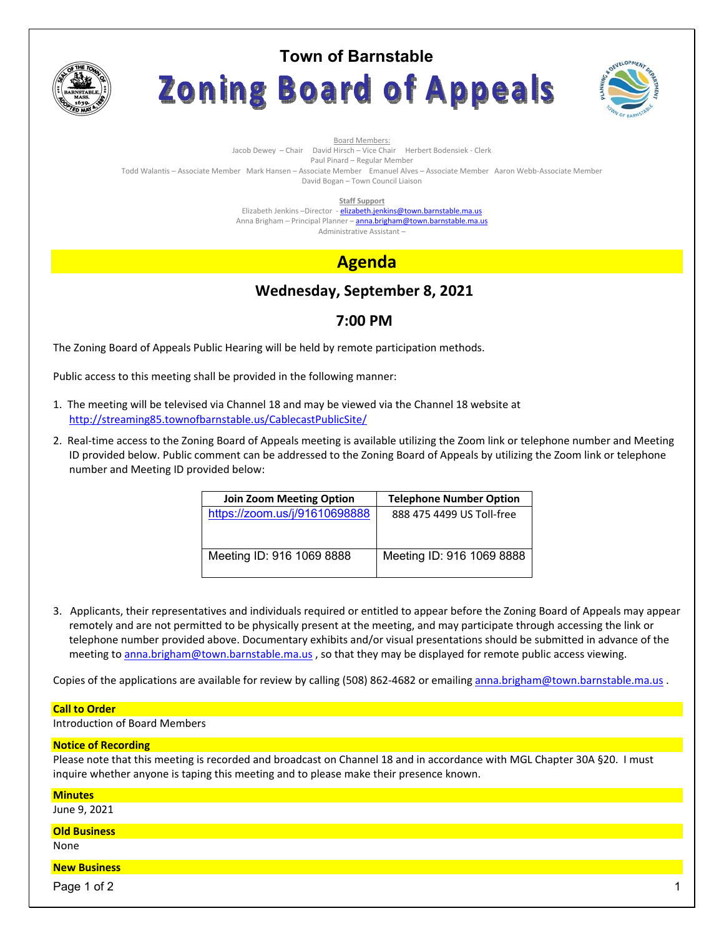

# **Town of Barnstable** Zoning Board of Appeals



Board Members: Jacob Dewey – Chair David Hirsch – Vice Chair Herbert Bodensiek - Clerk

Paul Pinard – Regular Member Todd Walantis – Associate Member Mark Hansen – Associate Member Emanuel Alves – Associate Member Aaron Webb-Associate Member David Bogan – Town Council Liaison

**Staff Support** 

Elizabeth Jenkins -Director - elizabeth.jenkins@town.barnstable.ma.us Anna Brigham – Principal Planner – **anna.brigham@town.barnstable.ma.us** Administrative Assistant –

# **Agenda**

# **Wednesday, September 8, 2021**

## **7:00 PM**

The Zoning Board of Appeals Public Hearing will be held by remote participation methods.

Public access to this meeting shall be provided in the following manner:

- 1. The meeting will be televised via Channel 18 and may be viewed via the Channel 18 website at http://streaming85.townofbarnstable.us/CablecastPublicSite/
- 2. Real-time access to the Zoning Board of Appeals meeting is available utilizing the Zoom link or telephone number and Meeting ID provided below. Public comment can be addressed to the Zoning Board of Appeals by utilizing the Zoom link or telephone number and Meeting ID provided below:

| <b>Telephone Number Option</b> |
|--------------------------------|
| 888 475 4499 US Toll-free      |
|                                |
| Meeting ID: 916 1069 8888      |
|                                |

3. Applicants, their representatives and individuals required or entitled to appear before the Zoning Board of Appeals may appear remotely and are not permitted to be physically present at the meeting, and may participate through accessing the link or telephone number provided above. Documentary exhibits and/or visual presentations should be submitted in advance of the meeting to anna.brigham@town.barnstable.ma.us, so that they may be displayed for remote public access viewing.

Copies of the applications are available for review by calling (508) 862-4682 or emailing anna.brigham@town.barnstable.ma.us .

### **Call to Order**

Introduction of Board Members

### **Notice of Recording**

Please note that this meeting is recorded and broadcast on Channel 18 and in accordance with MGL Chapter 30A §20. I must inquire whether anyone is taping this meeting and to please make their presence known.

| <b>Minutes</b>      |  |
|---------------------|--|
| June 9, 2021        |  |
| <b>Old Business</b> |  |
| None                |  |
| <b>New Business</b> |  |
| Page 1 of 2         |  |